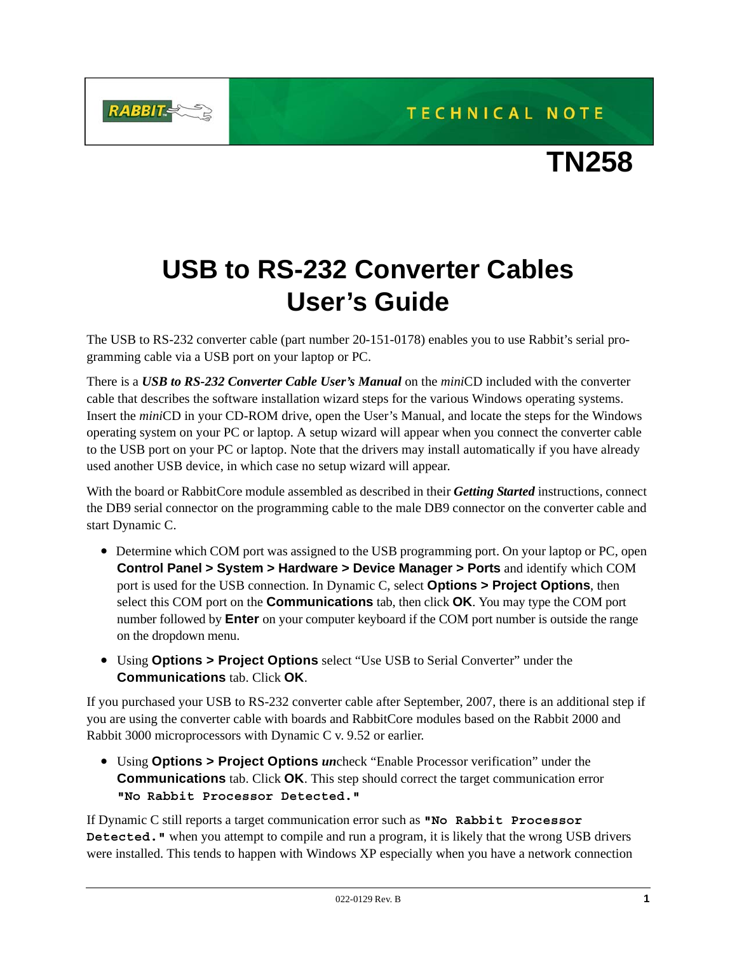



## **USB to RS-232 Converter Cables User's Guide**

**RABBIT** 

The USB to RS-232 converter cable (part number 20-151-0178) enables you to use Rabbit's serial programming cable via a USB port on your laptop or PC.

There is a *USB to RS-232 Converter Cable User's Manual* on the *mini*CD included with the converter cable that describes the software installation wizard steps for the various Windows operating systems. Insert the *mini*CD in your CD-ROM drive, open the User's Manual, and locate the steps for the Windows operating system on your PC or laptop. A setup wizard will appear when you connect the converter cable to the USB port on your PC or laptop. Note that the drivers may install automatically if you have already used another USB device, in which case no setup wizard will appear.

With the board or RabbitCore module assembled as described in their *Getting Started* instructions, connect the DB9 serial connector on the programming cable to the male DB9 connector on the converter cable and start Dynamic C.

- Determine which COM port was assigned to the USB programming port. On your laptop or PC, open **Control Panel > System > Hardware > Device Manager > Ports** and identify which COM port is used for the USB connection. In Dynamic C, select **Options > Project Options**, then select this COM port on the **Communications** tab, then click **OK**. You may type the COM port number followed by **Enter** on your computer keyboard if the COM port number is outside the range on the dropdown menu.
- Using **Options > Project Options** select "Use USB to Serial Converter" under the **Communications** tab. Click **OK**.

If you purchased your USB to RS-232 converter cable after September, 2007, there is an additional step if you are using the converter cable with boards and RabbitCore modules based on the Rabbit 2000 and Rabbit 3000 microprocessors with Dynamic C v. 9.52 or earlier.

**•** Using **Options > Project Options** *un*check "Enable Processor verification" under the **Communications** tab. Click **OK**. This step should correct the target communication error **"No Rabbit Processor Detected."**

If Dynamic C still reports a target communication error such as **"No Rabbit Processor Detected."** when you attempt to compile and run a program, it is likely that the wrong USB drivers were installed. This tends to happen with Windows XP especially when you have a network connection